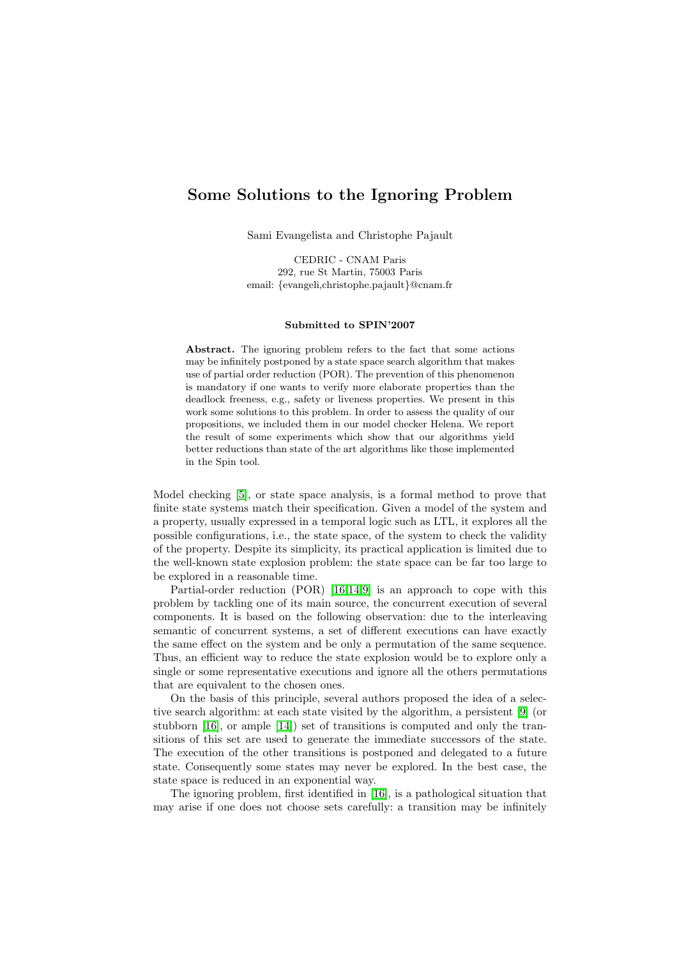# Some Solutions to the Ignoring Problem

Sami Evangelista and Christophe Pajault

CEDRIC - CNAM Paris 292, rue St Martin, 75003 Paris email: {evangeli,christophe.pajault}@cnam.fr

#### Submitted to SPIN'2007

Abstract. The ignoring problem refers to the fact that some actions may be infinitely postponed by a state space search algorithm that makes use of partial order reduction (POR). The prevention of this phenomenon is mandatory if one wants to verify more elaborate properties than the deadlock freeness, e.g., safety or liveness properties. We present in this work some solutions to this problem. In order to assess the quality of our propositions, we included them in our model checker Helena. We report the result of some experiments which show that our algorithms yield better reductions than state of the art algorithms like those implemented in the Spin tool.

Model checking [\[5\]](#page-17-0), or state space analysis, is a formal method to prove that finite state systems match their specification. Given a model of the system and a property, usually expressed in a temporal logic such as LTL, it explores all the possible configurations, i.e., the state space, of the system to check the validity of the property. Despite its simplicity, its practical application is limited due to the well-known state explosion problem: the state space can be far too large to be explored in a reasonable time.

Partial-order reduction (POR) [\[16](#page-17-1)[,14,](#page-17-2)[9\]](#page-17-3) is an approach to cope with this problem by tackling one of its main source, the concurrent execution of several components. It is based on the following observation: due to the interleaving semantic of concurrent systems, a set of different executions can have exactly the same effect on the system and be only a permutation of the same sequence. Thus, an efficient way to reduce the state explosion would be to explore only a single or some representative executions and ignore all the others permutations that are equivalent to the chosen ones.

On the basis of this principle, several authors proposed the idea of a selective search algorithm: at each state visited by the algorithm, a persistent [\[9\]](#page-17-3) (or stubborn [\[16\]](#page-17-1), or ample [\[14\]](#page-17-2)) set of transitions is computed and only the transitions of this set are used to generate the immediate successors of the state. The execution of the other transitions is postponed and delegated to a future state. Consequently some states may never be explored. In the best case, the state space is reduced in an exponential way.

The ignoring problem, first identified in [\[16\]](#page-17-1), is a pathological situation that may arise if one does not choose sets carefully: a transition may be infinitely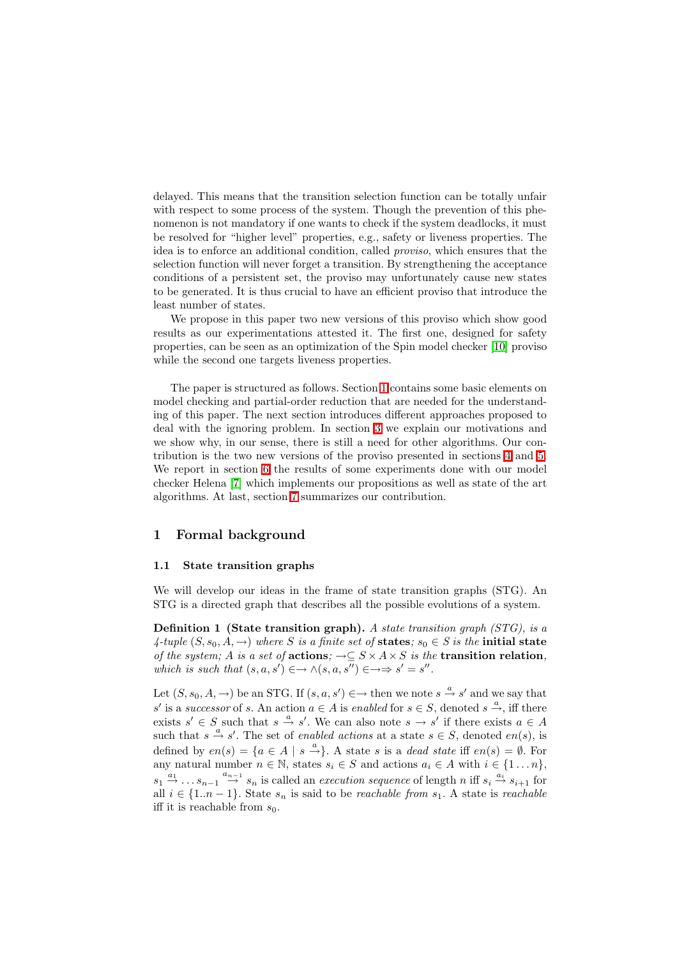delayed. This means that the transition selection function can be totally unfair with respect to some process of the system. Though the prevention of this phenomenon is not mandatory if one wants to check if the system deadlocks, it must be resolved for "higher level" properties, e.g., safety or liveness properties. The idea is to enforce an additional condition, called proviso, which ensures that the selection function will never forget a transition. By strengthening the acceptance conditions of a persistent set, the proviso may unfortunately cause new states to be generated. It is thus crucial to have an efficient proviso that introduce the least number of states.

We propose in this paper two new versions of this proviso which show good results as our experimentations attested it. The first one, designed for safety properties, can be seen as an optimization of the Spin model checker [\[10\]](#page-17-4) proviso while the second one targets liveness properties.

The paper is structured as follows. Section [1](#page-1-0) contains some basic elements on model checking and partial-order reduction that are needed for the understanding of this paper. The next section introduces different approaches proposed to deal with the ignoring problem. In section [3](#page-5-0) we explain our motivations and we show why, in our sense, there is still a need for other algorithms. Our contribution is the two new versions of the proviso presented in sections [4](#page-7-0) and [5.](#page-9-0) We report in section [6](#page-13-0) the results of some experiments done with our model checker Helena [\[7\]](#page-17-5) which implements our propositions as well as state of the art algorithms. At last, section [7](#page-16-0) summarizes our contribution.

#### <span id="page-1-0"></span>1 Formal background

#### 1.1 State transition graphs

We will develop our ideas in the frame of state transition graphs (STG). An STG is a directed graph that describes all the possible evolutions of a system.

**Definition 1 (State transition graph).** A state transition graph (STG), is a  $\mathcal{A}-tuple \ (S, s_0, A, \rightarrow)$  where S is a finite set of states;  $s_0 \in S$  is the initial state of the system; A is a set of actions;  $\rightarrow \subseteq S \times A \times S$  is the transition relation, which is such that  $(s, a, s') \in \rightarrow \land (s, a, s'') \in \rightarrow \Rightarrow s' = s''$ .

Let  $(S, s_0, A, \rightarrow)$  be an STG. If  $(s, a, s') \in \rightarrow$  then we note  $s \stackrel{a}{\rightarrow} s'$  and we say that s' is a successor of s. An action  $a \in A$  is enabled for  $s \in S$ , denoted  $s \stackrel{a}{\rightarrow}$ , iff there exists  $s' \in S$  such that  $s \stackrel{a}{\rightarrow} s'$ . We can also note  $s \rightarrow s'$  if there exists  $a \in A$ such that  $s \stackrel{a}{\rightarrow} s'$ . The set of *enabled actions* at a state  $s \in S$ , denoted  $en(s)$ , is defined by  $en(s) = \{a \in A \mid s \stackrel{a}{\rightarrow} \}$ . A state s is a *dead state* iff  $en(s) = \emptyset$ . For any natural number  $n \in \mathbb{N}$ , states  $s_i \in S$  and actions  $a_i \in A$  with  $i \in \{1 \dots n\}$ ,  $s_1 \stackrel{a_1}{\rightarrow} \ldots s_{n-1} \stackrel{a_{n-1}}{\rightarrow} s_n$  is called an *execution sequence* of length n iff  $s_i \stackrel{a_i}{\rightarrow} s_{i+1}$  for all  $i \in \{1..n-1\}$ . State  $s_n$  is said to be *reachable from*  $s_1$ . A state is *reachable* iff it is reachable from  $s_0$ .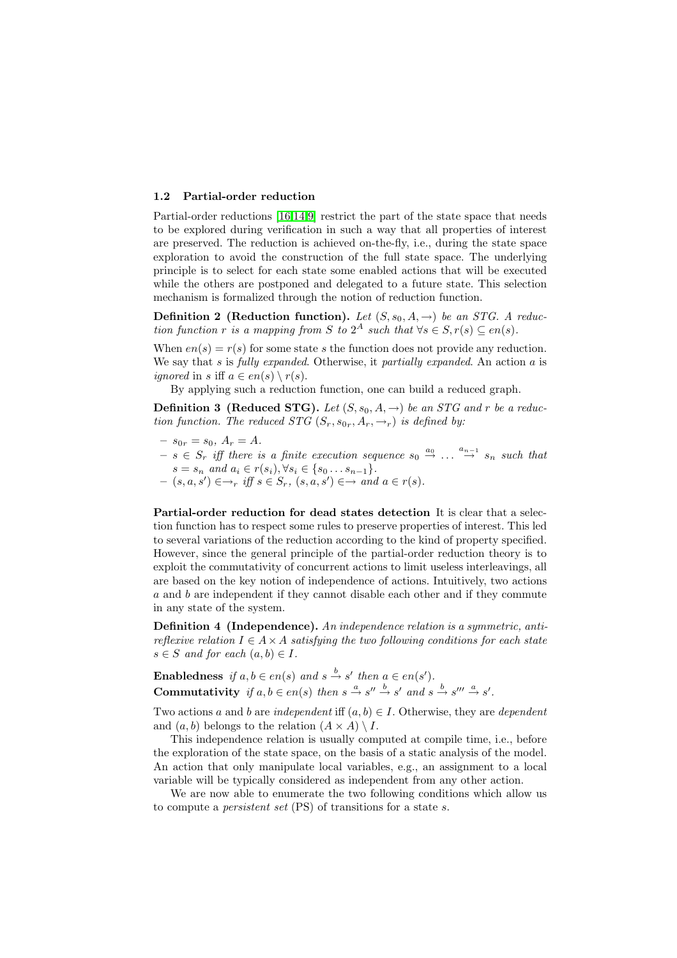#### 1.2 Partial-order reduction

Partial-order reductions [\[16](#page-17-1)[,14,](#page-17-2)[9\]](#page-17-3) restrict the part of the state space that needs to be explored during verification in such a way that all properties of interest are preserved. The reduction is achieved on-the-fly, i.e., during the state space exploration to avoid the construction of the full state space. The underlying principle is to select for each state some enabled actions that will be executed while the others are postponed and delegated to a future state. This selection mechanism is formalized through the notion of reduction function.

**Definition 2 (Reduction function).** Let  $(S, s_0, A, \rightarrow)$  be an STG. A reduction function r is a mapping from S to  $2^A$  such that  $\forall s \in S, r(s) \subseteq en(s)$ .

When  $en(s) = r(s)$  for some state s the function does not provide any reduction. We say that  $s$  is *fully expanded*. Otherwise, it *partially expanded*. An action  $a$  is *ignored* in s iff  $a \in en(s) \setminus r(s)$ .

By applying such a reduction function, one can build a reduced graph.

**Definition 3 (Reduced STG).** Let  $(S, s_0, A, \rightarrow)$  be an STG and r be a reduction function. The reduced STG  $(S_r, s_{0r}, A_r, \rightarrow_r)$  is defined by:

- $s_{0r} = s_0, A_r = A.$
- $s \in S_r$  iff there is a finite execution sequence  $s_0 \stackrel{a_0}{\rightarrow} \dots \stackrel{a_{n-1}}{\rightarrow} s_n$  such that  $s = s_n$  and  $a_i \in r(s_i), \forall s_i \in \{s_0 \dots s_{n-1}\}.$
- $(s, a, s') \in \rightarrow_r \textit{iff } s \in S_r, (s, a, s') \in \rightarrow \textit{and } a \in r(s).$

Partial-order reduction for dead states detection It is clear that a selection function has to respect some rules to preserve properties of interest. This led to several variations of the reduction according to the kind of property specified. However, since the general principle of the partial-order reduction theory is to exploit the commutativity of concurrent actions to limit useless interleavings, all are based on the key notion of independence of actions. Intuitively, two actions a and b are independent if they cannot disable each other and if they commute in any state of the system.

Definition 4 (Independence). An independence relation is a symmetric, antireflexive relation  $I \in A \times A$  satisfying the two following conditions for each state  $s \in S$  and for each  $(a, b) \in I$ .

**Enabledness** if  $a, b \in en(s)$  and  $s \stackrel{b}{\rightarrow} s'$  then  $a \in en(s')$ . **Commutativity** if  $a, b \in en(s)$  then  $s \stackrel{a}{\rightarrow} s'' \stackrel{b}{\rightarrow} s'$  and  $s \stackrel{b}{\rightarrow} s''' \stackrel{a}{\rightarrow} s'$ .

Two actions a and b are independent iff  $(a, b) \in I$ . Otherwise, they are dependent and  $(a, b)$  belongs to the relation  $(A \times A) \setminus I$ .

This independence relation is usually computed at compile time, i.e., before the exploration of the state space, on the basis of a static analysis of the model. An action that only manipulate local variables, e.g., an assignment to a local variable will be typically considered as independent from any other action.

We are now able to enumerate the two following conditions which allow us to compute a persistent set (PS) of transitions for a state s.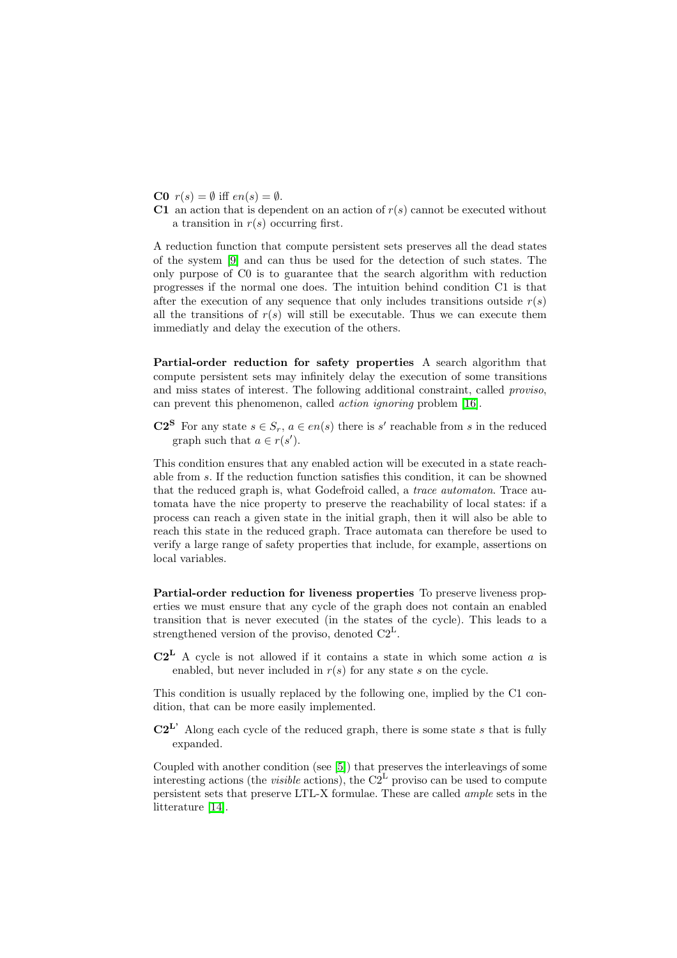$C0 \t r(s) = \emptyset$  iff  $en(s) = \emptyset$ .

C1 an action that is dependent on an action of  $r(s)$  cannot be executed without a transition in  $r(s)$  occurring first.

A reduction function that compute persistent sets preserves all the dead states of the system [\[9\]](#page-17-3) and can thus be used for the detection of such states. The only purpose of C0 is to guarantee that the search algorithm with reduction progresses if the normal one does. The intuition behind condition C1 is that after the execution of any sequence that only includes transitions outside  $r(s)$ all the transitions of  $r(s)$  will still be executable. Thus we can execute them immediatly and delay the execution of the others.

Partial-order reduction for safety properties A search algorithm that compute persistent sets may infinitely delay the execution of some transitions and miss states of interest. The following additional constraint, called proviso, can prevent this phenomenon, called action ignoring problem [\[16\]](#page-17-1).

 $C2^S$  For any state  $s \in S_r$ ,  $a \in en(s)$  there is s' reachable from s in the reduced graph such that  $a \in r(s')$ .

This condition ensures that any enabled action will be executed in a state reachable from s. If the reduction function satisfies this condition, it can be showned that the reduced graph is, what Godefroid called, a trace automaton. Trace automata have the nice property to preserve the reachability of local states: if a process can reach a given state in the initial graph, then it will also be able to reach this state in the reduced graph. Trace automata can therefore be used to verify a large range of safety properties that include, for example, assertions on local variables.

Partial-order reduction for liveness properties To preserve liveness properties we must ensure that any cycle of the graph does not contain an enabled transition that is never executed (in the states of the cycle). This leads to a strengthened version of the proviso, denoted  $C2<sup>L</sup>$ .

 $C2<sup>L</sup>$  A cycle is not allowed if it contains a state in which some action a is enabled, but never included in  $r(s)$  for any state s on the cycle.

This condition is usually replaced by the following one, implied by the C1 condition, that can be more easily implemented.

 $C2<sup>L</sup>$ <sup>2</sup> Along each cycle of the reduced graph, there is some state s that is fully expanded.

Coupled with another condition (see [\[5\]](#page-17-0)) that preserves the interleavings of some interesting actions (the *visible* actions), the  $C2<sup>L</sup>$  proviso can be used to compute persistent sets that preserve LTL-X formulae. These are called ample sets in the litterature [\[14\]](#page-17-2).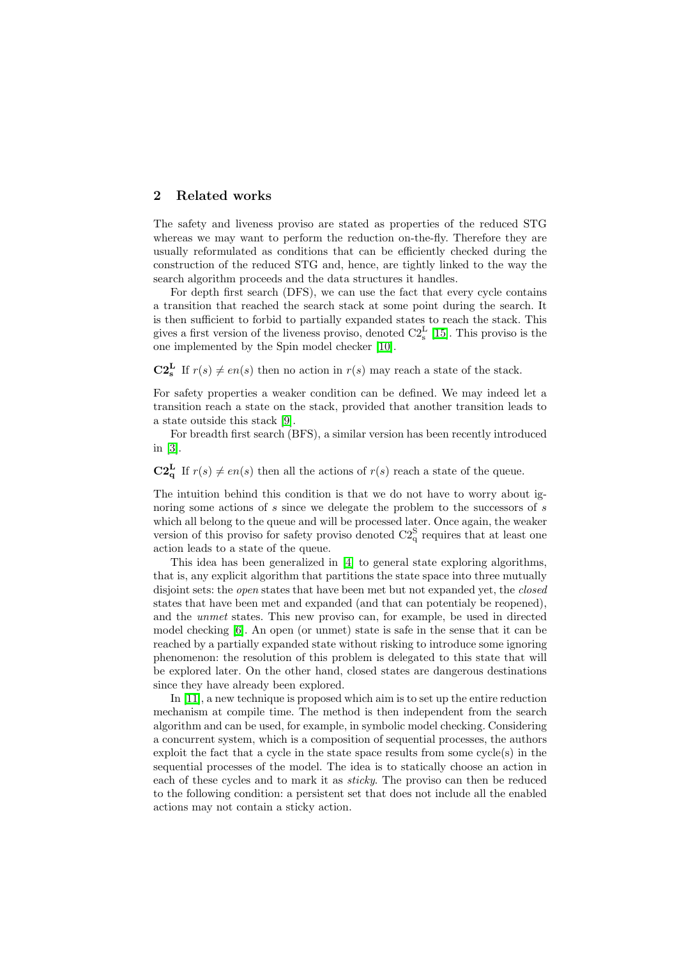# 2 Related works

The safety and liveness proviso are stated as properties of the reduced STG whereas we may want to perform the reduction on-the-fly. Therefore they are usually reformulated as conditions that can be efficiently checked during the construction of the reduced STG and, hence, are tightly linked to the way the search algorithm proceeds and the data structures it handles.

For depth first search (DFS), we can use the fact that every cycle contains a transition that reached the search stack at some point during the search. It is then sufficient to forbid to partially expanded states to reach the stack. This gives a first version of the liveness proviso, denoted  $C2_s^L$  [\[15\]](#page-17-6). This proviso is the one implemented by the Spin model checker [\[10\]](#page-17-4).

 $\mathbf{C2}_{s}^{\mathbf{L}}$  If  $r(s) \neq en(s)$  then no action in  $r(s)$  may reach a state of the stack.

For safety properties a weaker condition can be defined. We may indeed let a transition reach a state on the stack, provided that another transition leads to a state outside this stack [\[9\]](#page-17-3).

For breadth first search (BFS), a similar version has been recently introduced in [\[3\]](#page-17-7).

 $\mathbf{C2}_{\mathbf{q}}^{\mathbf{L}}$  If  $r(s) \neq en(s)$  then all the actions of  $r(s)$  reach a state of the queue.

The intuition behind this condition is that we do not have to worry about ignoring some actions of s since we delegate the problem to the successors of s which all belong to the queue and will be processed later. Once again, the weaker version of this proviso for safety proviso denoted  $C2_q^S$  requires that at least one action leads to a state of the queue.

This idea has been generalized in [\[4\]](#page-17-8) to general state exploring algorithms, that is, any explicit algorithm that partitions the state space into three mutually disjoint sets: the *open* states that have been met but not expanded yet, the *closed* states that have been met and expanded (and that can potentialy be reopened), and the unmet states. This new proviso can, for example, be used in directed model checking [\[6\]](#page-17-9). An open (or unmet) state is safe in the sense that it can be reached by a partially expanded state without risking to introduce some ignoring phenomenon: the resolution of this problem is delegated to this state that will be explored later. On the other hand, closed states are dangerous destinations since they have already been explored.

In [\[11\]](#page-17-10), a new technique is proposed which aim is to set up the entire reduction mechanism at compile time. The method is then independent from the search algorithm and can be used, for example, in symbolic model checking. Considering a concurrent system, which is a composition of sequential processes, the authors exploit the fact that a cycle in the state space results from some cycle(s) in the sequential processes of the model. The idea is to statically choose an action in each of these cycles and to mark it as sticky. The proviso can then be reduced to the following condition: a persistent set that does not include all the enabled actions may not contain a sticky action.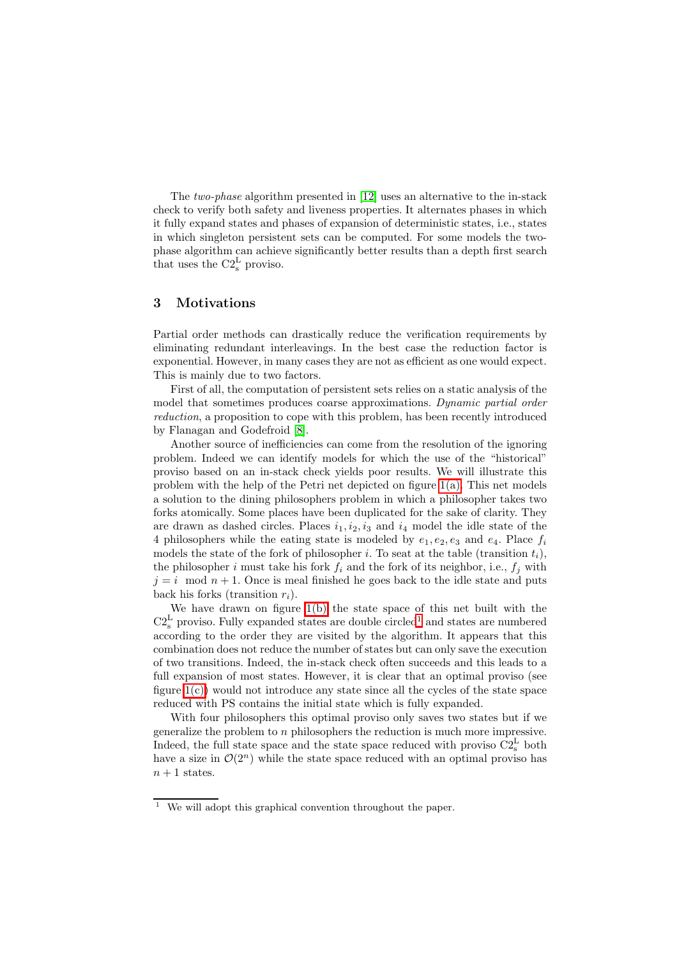The two-phase algorithm presented in [\[12\]](#page-17-11) uses an alternative to the in-stack check to verify both safety and liveness properties. It alternates phases in which it fully expand states and phases of expansion of deterministic states, i.e., states in which singleton persistent sets can be computed. For some models the twophase algorithm can achieve significantly better results than a depth first search that uses the  $C2_s^L$  proviso.

# <span id="page-5-0"></span>3 Motivations

Partial order methods can drastically reduce the verification requirements by eliminating redundant interleavings. In the best case the reduction factor is exponential. However, in many cases they are not as efficient as one would expect. This is mainly due to two factors.

First of all, the computation of persistent sets relies on a static analysis of the model that sometimes produces coarse approximations. Dynamic partial order reduction, a proposition to cope with this problem, has been recently introduced by Flanagan and Godefroid [\[8\]](#page-17-12).

Another source of inefficiencies can come from the resolution of the ignoring problem. Indeed we can identify models for which the use of the "historical" proviso based on an in-stack check yields poor results. We will illustrate this problem with the help of the Petri net depicted on figure [1\(a\).](#page-6-0) This net models a solution to the dining philosophers problem in which a philosopher takes two forks atomically. Some places have been duplicated for the sake of clarity. They are drawn as dashed circles. Places  $i_1, i_2, i_3$  and  $i_4$  model the idle state of the 4 philosophers while the eating state is modeled by  $e_1, e_2, e_3$  and  $e_4$ . Place  $f_i$ models the state of the fork of philosopher i. To seat at the table (transition  $t_i$ ), the philosopher i must take his fork  $f_i$  and the fork of its neighbor, i.e.,  $f_i$  with  $j = i \mod n + 1$ . Once is meal finished he goes back to the idle state and puts back his forks (transition  $r_i$ ).

We have drawn on figure [1\(b\)](#page-6-1) the state space of this net built with the  $C2^L_s$  proviso. Fully expanded states are double circled<sup>[1](#page-5-1)</sup> and states are numbered according to the order they are visited by the algorithm. It appears that this combination does not reduce the number of states but can only save the execution of two transitions. Indeed, the in-stack check often succeeds and this leads to a full expansion of most states. However, it is clear that an optimal proviso (see figure  $1(c)$ ) would not introduce any state since all the cycles of the state space reduced with PS contains the initial state which is fully expanded.

With four philosophers this optimal proviso only saves two states but if we generalize the problem to  $n$  philosophers the reduction is much more impressive. Indeed, the full state space and the state space reduced with proviso  $\rm{C2}^{\rm{L}}_{\rm{s}}$  both have a size in  $\mathcal{O}(2^n)$  while the state space reduced with an optimal proviso has  $n+1$  states.

<span id="page-5-1"></span><sup>&</sup>lt;sup>1</sup> We will adopt this graphical convention throughout the paper.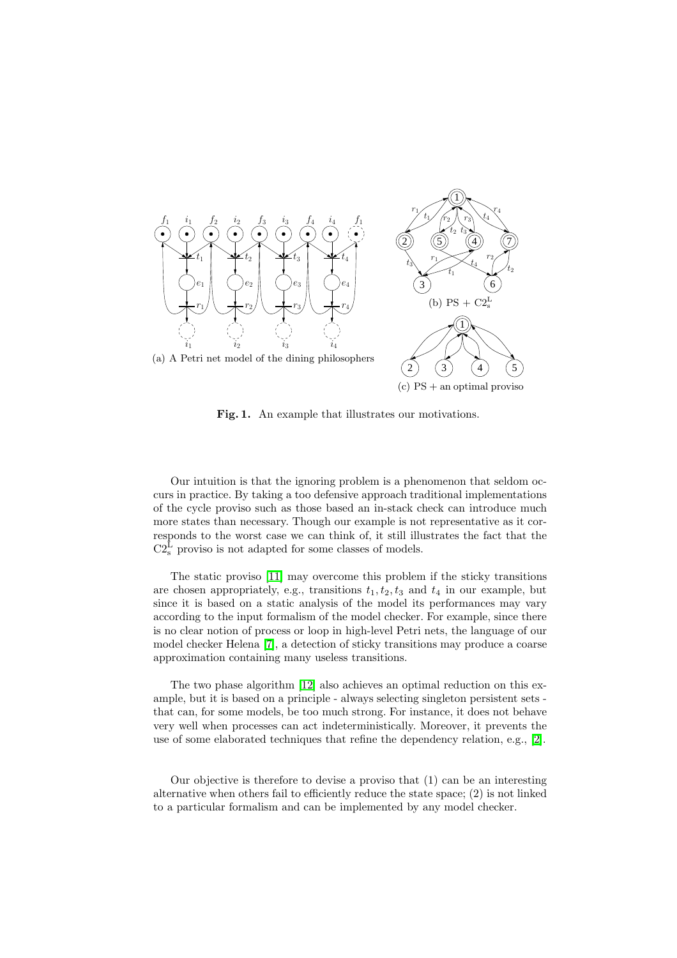

<span id="page-6-2"></span><span id="page-6-1"></span>Fig. 1. An example that illustrates our motivations.

<span id="page-6-0"></span>Our intuition is that the ignoring problem is a phenomenon that seldom occurs in practice. By taking a too defensive approach traditional implementations of the cycle proviso such as those based an in-stack check can introduce much more states than necessary. Though our example is not representative as it corresponds to the worst case we can think of, it still illustrates the fact that the  $C2<sub>s</sub><sup>L</sup>$  proviso is not adapted for some classes of models.

The static proviso [\[11\]](#page-17-10) may overcome this problem if the sticky transitions are chosen appropriately, e.g., transitions  $t_1, t_2, t_3$  and  $t_4$  in our example, but since it is based on a static analysis of the model its performances may vary according to the input formalism of the model checker. For example, since there is no clear notion of process or loop in high-level Petri nets, the language of our model checker Helena [\[7\]](#page-17-5), a detection of sticky transitions may produce a coarse approximation containing many useless transitions.

The two phase algorithm [\[12\]](#page-17-11) also achieves an optimal reduction on this example, but it is based on a principle - always selecting singleton persistent sets that can, for some models, be too much strong. For instance, it does not behave very well when processes can act indeterministically. Moreover, it prevents the use of some elaborated techniques that refine the dependency relation, e.g., [\[2\]](#page-17-13).

Our objective is therefore to devise a proviso that (1) can be an interesting alternative when others fail to efficiently reduce the state space; (2) is not linked to a particular formalism and can be implemented by any model checker.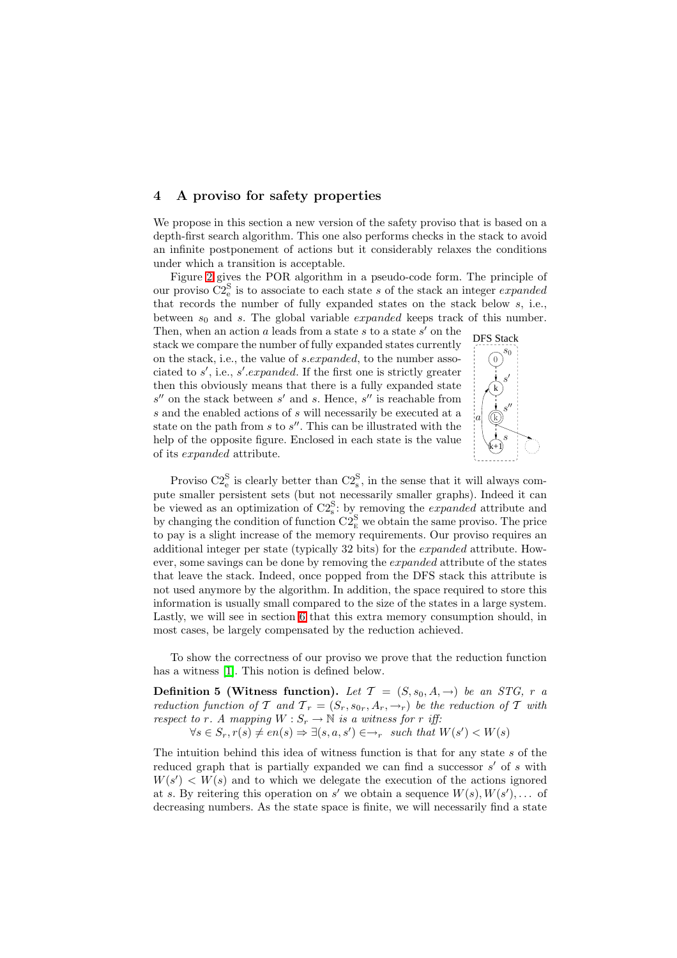## <span id="page-7-0"></span>4 A proviso for safety properties

We propose in this section a new version of the safety proviso that is based on a depth-first search algorithm. This one also performs checks in the stack to avoid an infinite postponement of actions but it considerably relaxes the conditions under which a transition is acceptable.

Figure [2](#page-8-0) gives the POR algorithm in a pseudo-code form. The principle of our proviso  $C2^S_e$  is to associate to each state s of the stack an integer *expanded* that records the number of fully expanded states on the stack below s, i.e., between  $s_0$  and s. The global variable *expanded* keeps track of this number. k DFS Stack  $\overline{0}$  $s_0$ s ′ s ′′ Then, when an action  $a$  leads from a state  $s$  to a state  $s'$  on the stack we compare the number of fully expanded states currently on the stack, i.e., the value of s.expanded, to the number associated to s', i.e., s' expanded. If the first one is strictly greater then this obviously means that there is a fully expanded state  $s''$  on the stack between  $s'$  and  $s$ . Hence,  $s''$  is reachable from s and the enabled actions of s will necessarily be executed at a state on the path from  $s$  to  $s''$ . This can be illustrated with the

help of the opposite figure. Enclosed in each state is the value

of its expanded attribute.



Proviso  $C2_e^S$  is clearly better than  $C2_s^S$ , in the sense that it will always compute smaller persistent sets (but not necessarily smaller graphs). Indeed it can be viewed as an optimization of  $C2_s^S$ : by removing the *expanded* attribute and by changing the condition of function  $C2<sub>E</sub><sup>S</sup>$  we obtain the same proviso. The price to pay is a slight increase of the memory requirements. Our proviso requires an additional integer per state (typically 32 bits) for the expanded attribute. However, some savings can be done by removing the expanded attribute of the states that leave the stack. Indeed, once popped from the DFS stack this attribute is not used anymore by the algorithm. In addition, the space required to store this information is usually small compared to the size of the states in a large system. Lastly, we will see in section [6](#page-13-0) that this extra memory consumption should, in most cases, be largely compensated by the reduction achieved.

To show the correctness of our proviso we prove that the reduction function has a witness [\[1\]](#page-17-14). This notion is defined below.

Definition 5 (Witness function). Let  $\mathcal{T} = (S, s_0, A, \rightarrow)$  be an STG, r a reduction function of T and  $\mathcal{T}_r = (S_r, s_{0r}, A_r, \rightarrow_r)$  be the reduction of T with respect to r. A mapping  $W : S_r \to \mathbb{N}$  is a witness for r iff:

 $\forall s \in S_r, r(s) \neq en(s) \Rightarrow \exists (s, a, s') \in \rightarrow_r \text{ such that } W(s') < W(s)$ 

The intuition behind this idea of witness function is that for any state s of the reduced graph that is partially expanded we can find a successor  $s'$  of s with  $W(s') \n\leq W(s)$  and to which we delegate the execution of the actions ignored at s. By reitering this operation on s' we obtain a sequence  $W(s)$ ,  $W(s')$ ,... of decreasing numbers. As the state space is finite, we will necessarily find a state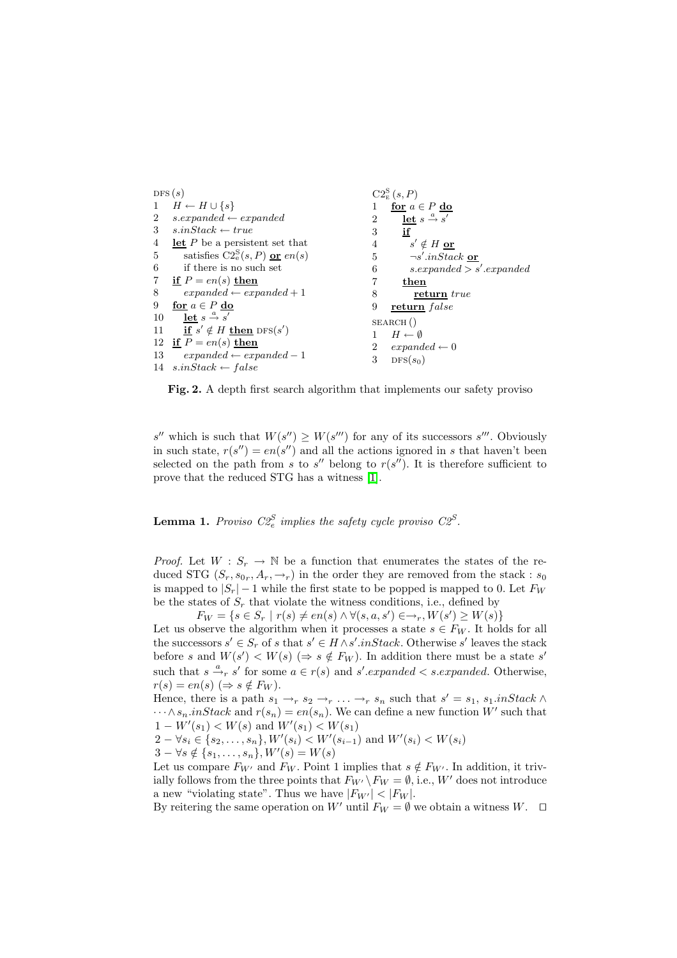|                | DFS(s)                                    |                | $C2_{\scriptscriptstyle{\mathrm{E}}}^{\mathrm{S}}\left(s,P\right)$ |
|----------------|-------------------------------------------|----------------|--------------------------------------------------------------------|
| $\overline{1}$ | $H \leftarrow H \cup \{s\}$               |                | for $a \in P$ do                                                   |
| $\overline{2}$ | $s$ .expanded $\leftarrow$ expanded       | $\overline{2}$ | let $s \stackrel{a}{\rightarrow} s'$                               |
| 3              | $s.inStack \leftarrow true$               | 3              | <u>іf</u>                                                          |
| 4              | let P be a persistent set that            | 4              | $s' \notin H$ or                                                   |
| 5              | satisfies $C2_e^S(s, P)$ or $en(s)$       | 5              | $\neg s'.inStack$ or                                               |
| 6              | if there is no such set                   | 6              | $s$ .expanded $> s'$ .expanded                                     |
| $\overline{7}$ | if $P = en(s)$ then                       | 7              | then                                                               |
| 8              | $expanded \leftarrow expanded + 1$        | 8              | return true                                                        |
| 9              | for $a \in P$ do                          | 9              | return false                                                       |
| 10             | let $s \stackrel{a}{\rightarrow} s'$      |                | SEARCH()                                                           |
| 11             | $\mathbf{if} s' \notin H$ then DFS $(s')$ |                | $H \leftarrow \emptyset$                                           |
|                | 12 if $P = en(s)$ then                    | $\overline{2}$ | $expanded \leftarrow 0$                                            |
| 13             | $expanded \leftarrow expanded - 1$        | 3              | $DFS(s_0)$                                                         |
|                | 14 $s.inStack \leftarrow false$           |                |                                                                    |

<span id="page-8-0"></span>Fig. 2. A depth first search algorithm that implements our safety proviso

s'' which is such that  $W(s'') \geq W(s''')$  for any of its successors s'''. Obviously in such state,  $r(s'') = en(s'')$  and all the actions ignored in s that haven't been selected on the path from s to s'' belong to  $r(s'')$ . It is therefore sufficient to prove that the reduced STG has a witness [\[1\]](#page-17-14).

**Lemma 1.** Proviso  $C2_e^S$  implies the safety cycle proviso  $C2_e^S$ .

*Proof.* Let  $W : S_r \to \mathbb{N}$  be a function that enumerates the states of the reduced STG  $(S_r, s_{0r}, A_r, \rightarrow_r)$  in the order they are removed from the stack :  $s_0$ is mapped to  $|S_r| - 1$  while the first state to be popped is mapped to 0. Let  $F_W$ be the states of  $S_r$  that violate the witness conditions, i.e., defined by

 $F_W = \{ s \in S_r \mid r(s) \neq en(s) \land \forall (s, a, s') \in \rightarrow_r, W(s') \geq W(s) \}$ 

Let us observe the algorithm when it processes a state  $s \in F_W$ . It holds for all the successors  $s' \in S_r$  of s that  $s' \in H \wedge s'$  in Stack. Otherwise s' leaves the stack before s and  $W(s') < W(s)$  ( $\Rightarrow s \notin F_W$ ). In addition there must be a state s' such that  $s \stackrel{a}{\rightarrow}_r s'$  for some  $a \in r(s)$  and  $s'$  expanded  $\lt s$  expanded. Otherwise,  $r(s) = en(s) \ (\Rightarrow s \notin F_W).$ 

Hence, there is a path  $s_1 \rightarrow_r s_2 \rightarrow_r \ldots \rightarrow_r s_n$  such that  $s' = s_1, s_1 \text{.} in Stack \land$  $\cdots \wedge s_n \cdot inStack \text{ and } r(s_n) = en(s_n)$ . We can define a new function W' such that  $1 - W'(s_1) < W(s)$  and  $W'(s_1) < W(s_1)$ 

 $2 - \forall s_i \in \{s_2, \ldots, s_n\}, W'(s_i) < W'(s_{i-1})$  and  $W'(s_i) < W(s_i)$ 

 $3 - \forall s \notin \{s_1, \ldots, s_n\}, W'(s) = W(s)$ 

Let us compare  $F_{W'}$  and  $F_W$ . Point 1 implies that  $s \notin F_{W'}$ . In addition, it trivially follows from the three points that  $F_{W'} \backslash F_W = \emptyset$ , i.e., W' does not introduce a new "violating state". Thus we have  $|F_{W'}| < |F_W|$ .

By reitering the same operation on W' until  $F_W = \emptyset$  we obtain a witness W.  $\Box$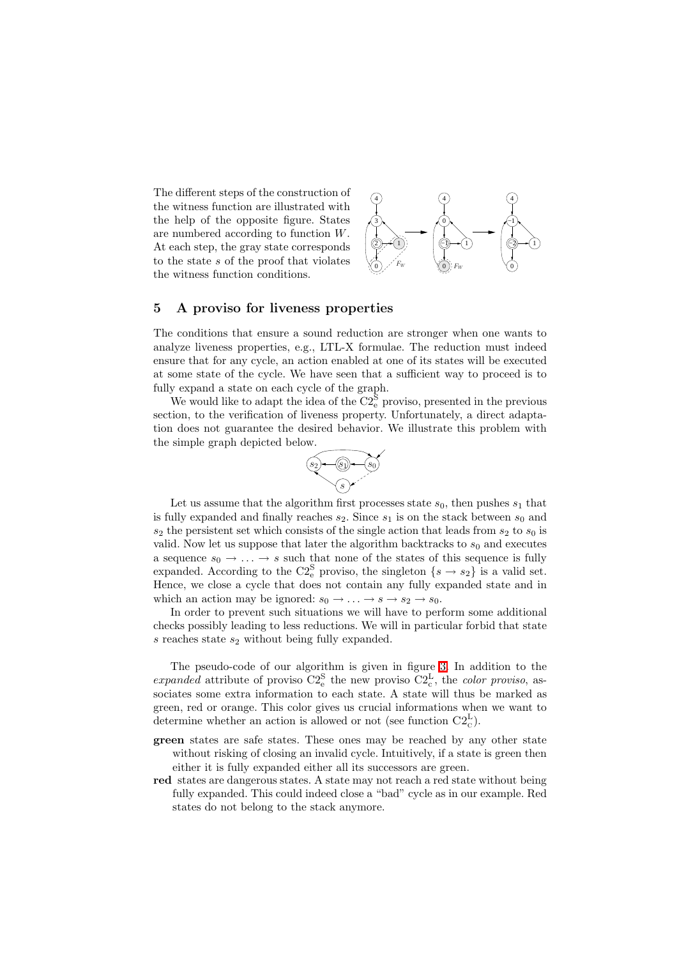The different steps of the construction of the witness function are illustrated with the help of the opposite figure. States are numbered according to function W. At each step, the gray state corresponds to the state s of the proof that violates the witness function conditions.



#### <span id="page-9-0"></span>5 A proviso for liveness properties

The conditions that ensure a sound reduction are stronger when one wants to analyze liveness properties, e.g., LTL-X formulae. The reduction must indeed ensure that for any cycle, an action enabled at one of its states will be executed at some state of the cycle. We have seen that a sufficient way to proceed is to fully expand a state on each cycle of the graph.

We would like to adapt the idea of the  $C2^{\rm S}_{\rm e}$  proviso, presented in the previous section, to the verification of liveness property. Unfortunately, a direct adaptation does not guarantee the desired behavior. We illustrate this problem with the simple graph depicted below.



Let us assume that the algorithm first processes state  $s_0$ , then pushes  $s_1$  that is fully expanded and finally reaches  $s_2$ . Since  $s_1$  is on the stack between  $s_0$  and  $s_2$  the persistent set which consists of the single action that leads from  $s_2$  to  $s_0$  is valid. Now let us suppose that later the algorithm backtracks to  $s_0$  and executes a sequence  $s_0 \rightarrow \ldots \rightarrow s$  such that none of the states of this sequence is fully expanded. According to the  $C2_e^S$  proviso, the singleton  $\{s \to s_2\}$  is a valid set. Hence, we close a cycle that does not contain any fully expanded state and in which an action may be ignored:  $s_0 \rightarrow \ldots \rightarrow s \rightarrow s_2 \rightarrow s_0$ .

In order to prevent such situations we will have to perform some additional checks possibly leading to less reductions. We will in particular forbid that state  $s$  reaches state  $s_2$  without being fully expanded.

The pseudo-code of our algorithm is given in figure [3.](#page-11-0) In addition to the expanded attribute of proviso  $C2^S_e$  the new proviso  $C2^L_c$ , the *color proviso*, associates some extra information to each state. A state will thus be marked as green, red or orange. This color gives us crucial informations when we want to determine whether an action is allowed or not (see function  $C2^L_c$ ).

- green states are safe states. These ones may be reached by any other state without risking of closing an invalid cycle. Intuitively, if a state is green then either it is fully expanded either all its successors are green.
- red states are dangerous states. A state may not reach a red state without being fully expanded. This could indeed close a "bad" cycle as in our example. Red states do not belong to the stack anymore.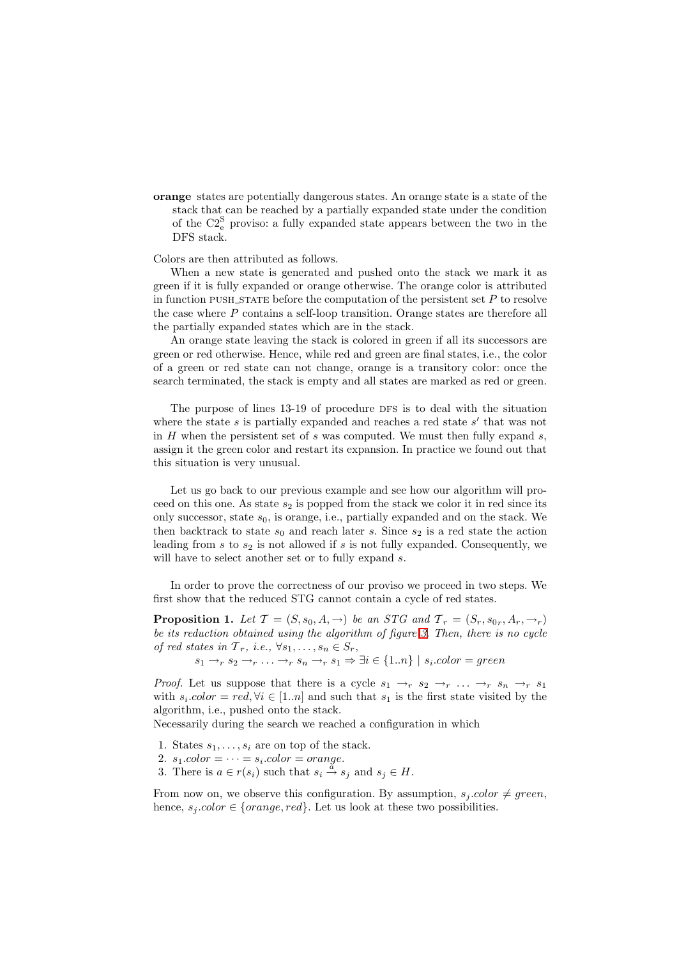orange states are potentially dangerous states. An orange state is a state of the stack that can be reached by a partially expanded state under the condition of the  $C2^S_e$  proviso: a fully expanded state appears between the two in the DFS stack.

#### Colors are then attributed as follows.

When a new state is generated and pushed onto the stack we mark it as green if it is fully expanded or orange otherwise. The orange color is attributed in function PUSH\_STATE before the computation of the persistent set  $P$  to resolve the case where P contains a self-loop transition. Orange states are therefore all the partially expanded states which are in the stack.

An orange state leaving the stack is colored in green if all its successors are green or red otherwise. Hence, while red and green are final states, i.e., the color of a green or red state can not change, orange is a transitory color: once the search terminated, the stack is empty and all states are marked as red or green.

The purpose of lines 13-19 of procedure DFS is to deal with the situation where the state  $s$  is partially expanded and reaches a red state  $s'$  that was not in  $H$  when the persistent set of s was computed. We must then fully expand s, assign it the green color and restart its expansion. In practice we found out that this situation is very unusual.

Let us go back to our previous example and see how our algorithm will proceed on this one. As state  $s_2$  is popped from the stack we color it in red since its only successor, state  $s_0$ , is orange, i.e., partially expanded and on the stack. We then backtrack to state  $s_0$  and reach later s. Since  $s_2$  is a red state the action leading from s to  $s_2$  is not allowed if s is not fully expanded. Consequently, we will have to select another set or to fully expand s.

In order to prove the correctness of our proviso we proceed in two steps. We first show that the reduced STG cannot contain a cycle of red states.

**Proposition 1.** Let  $\mathcal{T} = (S, s_0, A, \rightarrow)$  be an STG and  $\mathcal{T}_r = (S_r, s_{0r}, A_r, \rightarrow_r)$ be its reduction obtained using the algorithm of figure [3.](#page-11-0) Then, there is no cycle of red states in  $\mathcal{T}_r$ , i.e.,  $\forall s_1, \ldots, s_n \in S_r$ ,

<span id="page-10-0"></span> $s_1 \rightarrow_r s_2 \rightarrow_r \ldots \rightarrow_r s_n \rightarrow_r s_1 \Rightarrow \exists i \in \{1..n\} \mid s_i-color = green$ 

*Proof.* Let us suppose that there is a cycle  $s_1 \rightarrow_r s_2 \rightarrow_r \ldots \rightarrow_r s_n \rightarrow_r s_1$ with  $s_i \text{.color} = red, \forall i \in [1..n]$  and such that  $s_1$  is the first state visited by the algorithm, i.e., pushed onto the stack.

Necessarily during the search we reached a configuration in which

- 1. States  $s_1, \ldots, s_i$  are on top of the stack.
- 2.  $s_1 \text{.color} = \dots = s_i \text{.color} = orange.$
- 3. There is  $a \in r(s_i)$  such that  $s_i \stackrel{\tilde{a}}{\rightarrow} s_j$  and  $s_j \in H$ .

From now on, we observe this configuration. By assumption,  $s_i$  *color*  $\neq$  green, hence,  $s_i \text{.color} \in \{orange, red\}$ . Let us look at these two possibilities.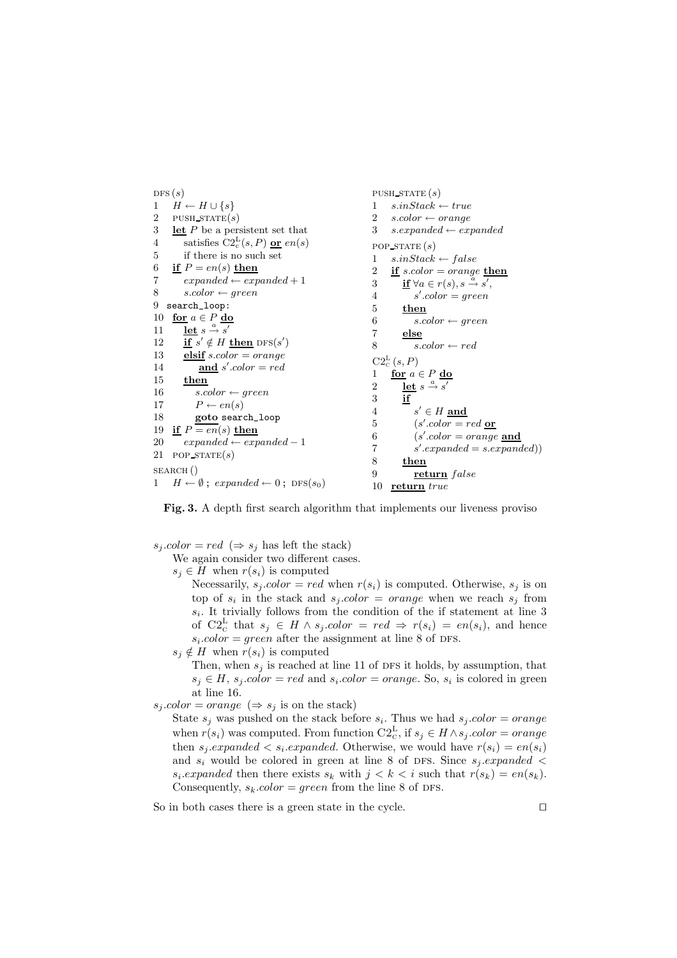```
DFS(s)1 H \leftarrow H \cup \{s\}2 PUSH_STATE(s)3 let P be a persistent set that
4 satisfies C2_c^L(s, P) or en(s)5 if there is no such set
6 if P = en(s) then
7 expanded \leftarrow expanded + 1
8 s.color \leftarrow green
9 search_loop:
10 for a \in P do
11 let s \stackrel{a}{\rightarrow} s'12 if s' \notin H then DFS(s')
13 elsif s{\text .}color = orange14 and s' color = red
15 then
16 s.color \leftarrow green17 P \leftarrow en(s)18 goto search_loop
19 if P = en(s) then
20 expanded ← expanded – 1
21 POP STATE(s)search ()
1 H \leftarrow \emptyset; expanded \leftarrow 0; DFS(s<sub>0</sub>)
                                                    PUSH_STATE(s)1 s.inStack \leftarrow true2 s.color \leftarrow orange3 s.expanded \leftarrow expanded
                                                    POP STATE (s)1 s.inStack \leftarrow false2 if s{\mathit{-color}} = orange then
                                                    3 if \forall a \in r(s), s \stackrel{a}{\rightarrow} s',
                                                    \frac{1}{s' \cdot color} = green5 then
                                                    6 s.color \leftarrow green7 else
                                                    8 s.color \leftarrow redC2_{\mathrm{c}}^{\mathrm{L}}\left(s,P\right)1 for a \in P do
                                                    2 let s \stackrel{a}{\rightarrow} s'3 if
                                                    4 s' \in H and
                                                    5 (s'.color = red \textbf{ or }6 (s'.color = orange \textbf{ and }\sigma's' expanded = s.expanded))
                                                    8 then
                                                    9 return false
                                                    10 return true
```
Fig. 3. A depth first search algorithm that implements our liveness proviso

<span id="page-11-0"></span> $s_i \text{.color} = red \ (\Rightarrow s_i \text{ has left the stack})$ 

We again consider two different cases.

 $s_i \in H$  when  $r(s_i)$  is computed

Necessarily,  $s_i \text{.color} = red$  when  $r(s_i)$  is computed. Otherwise,  $s_i$  is on top of  $s_i$  in the stack and  $s_j \text{.color} = \text{orange}$  when we reach  $s_j$  from  $s_i$ . It trivially follows from the condition of the if statement at line 3 of  $C2_{\rm c}^{\rm L}$  that  $s_j \in H \wedge s_j$ .color = red  $\Rightarrow$  r(s<sub>i</sub>) = en(s<sub>i</sub>), and hence  $s_i \cdot color = green$  after the assignment at line 8 of DFS.

 $s_i \notin H$  when  $r(s_i)$  is computed

Then, when  $s_i$  is reached at line 11 of DFS it holds, by assumption, that  $s_j \in H$ ,  $s_j \text{.color} = red$  and  $s_i \text{.color} = orange$ . So,  $s_i$  is colored in green at line 16.

 $s_i \text{.color} = \text{orange} \ \ (\Rightarrow s_i \text{ is on the stack})$ 

State  $s_j$  was pushed on the stack before  $s_i$ . Thus we had  $s_j \text{.color} = orange$ when  $r(s_i)$  was computed. From function  $C2^L_c$ , if  $s_j \in H \wedge s_j$  *color = orange* then  $s_j$  expanded  $\langle s_i$  expanded. Otherwise, we would have  $r(s_i) = en(s_i)$ and  $s_i$  would be colored in green at line 8 of DFS. Since  $s_j$  expanded  $\lt$  $s_i$  expanded then there exists  $s_k$  with  $j < k < i$  such that  $r(s_k) = en(s_k)$ . Consequently,  $s_k \ncolor = green$  from the line 8 of DFS.

So in both cases there is a green state in the cycle. □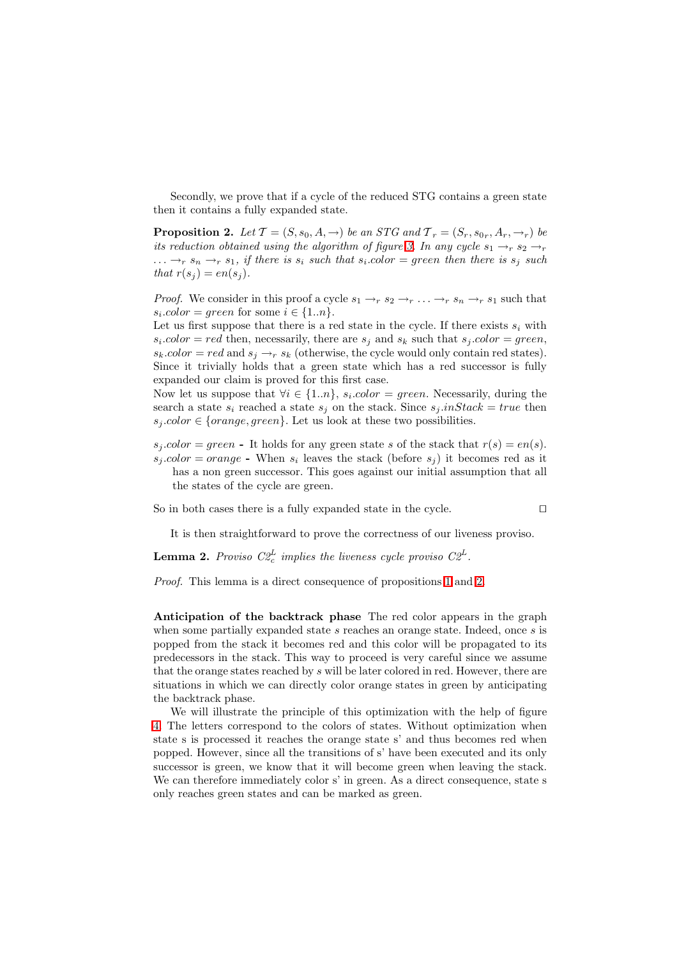<span id="page-12-0"></span>Secondly, we prove that if a cycle of the reduced STG contains a green state then it contains a fully expanded state.

**Proposition 2.** Let  $\mathcal{T} = (S, s_0, A, \rightarrow)$  be an STG and  $\mathcal{T}_r = (S_r, s_{0r}, A_r, \rightarrow_r)$  be its reduction obtained using the algorithm of figure [3.](#page-11-0) In any cycle  $s_1 \rightarrow_r s_2 \rightarrow_r$  $\ldots \rightarrow_r s_n \rightarrow_r s_1$ , if there is  $s_i$  such that  $s_i$  color = green then there is  $s_j$  such that  $r(s_j) = en(s_j)$ .

*Proof.* We consider in this proof a cycle  $s_1 \rightarrow_r s_2 \rightarrow_r \ldots \rightarrow_r s_n \rightarrow_r s_1$  such that  $s_i-color = green$  for some  $i \in \{1..n\}.$ 

Let us first suppose that there is a red state in the cycle. If there exists  $s_i$  with  $s_i-color = red$  then, necessarily, there are  $s_j$  and  $s_k$  such that  $s_j-color = green$ ,  $s_kcolor = red$  and  $s_j \rightarrow_r s_k$  (otherwise, the cycle would only contain red states). Since it trivially holds that a green state which has a red successor is fully expanded our claim is proved for this first case.

Now let us suppose that  $\forall i \in \{1..n\}, s_i-color = green$ . Necessarily, during the search a state  $s_i$  reached a state  $s_j$  on the stack. Since  $s_j$  in Stack = true then  $s_i \text{.color} \in \{orange, green\}$ . Let us look at these two possibilities.

 $s_j \ncolor = green$  - It holds for any green state s of the stack that  $r(s) = en(s)$ .  $s_j \ncolor = orange$  - When  $s_i$  leaves the stack (before  $s_j$ ) it becomes red as it has a non green successor. This goes against our initial assumption that all the states of the cycle are green.

So in both cases there is a fully expanded state in the cycle.  $□$ 

It is then straightforward to prove the correctness of our liveness proviso.

**Lemma 2.** Proviso  $C2_c^L$  implies the liveness cycle proviso  $C2^L$ .

Proof. This lemma is a direct consequence of propositions [1](#page-10-0) and [2.](#page-12-0)

Anticipation of the backtrack phase The red color appears in the graph when some partially expanded state  $s$  reaches an orange state. Indeed, once  $s$  is popped from the stack it becomes red and this color will be propagated to its predecessors in the stack. This way to proceed is very careful since we assume that the orange states reached by s will be later colored in red. However, there are situations in which we can directly color orange states in green by anticipating the backtrack phase.

We will illustrate the principle of this optimization with the help of figure [4.](#page-13-1) The letters correspond to the colors of states. Without optimization when state s is processed it reaches the orange state s' and thus becomes red when popped. However, since all the transitions of s' have been executed and its only successor is green, we know that it will become green when leaving the stack. We can therefore immediately color s' in green. As a direct consequence, state s only reaches green states and can be marked as green.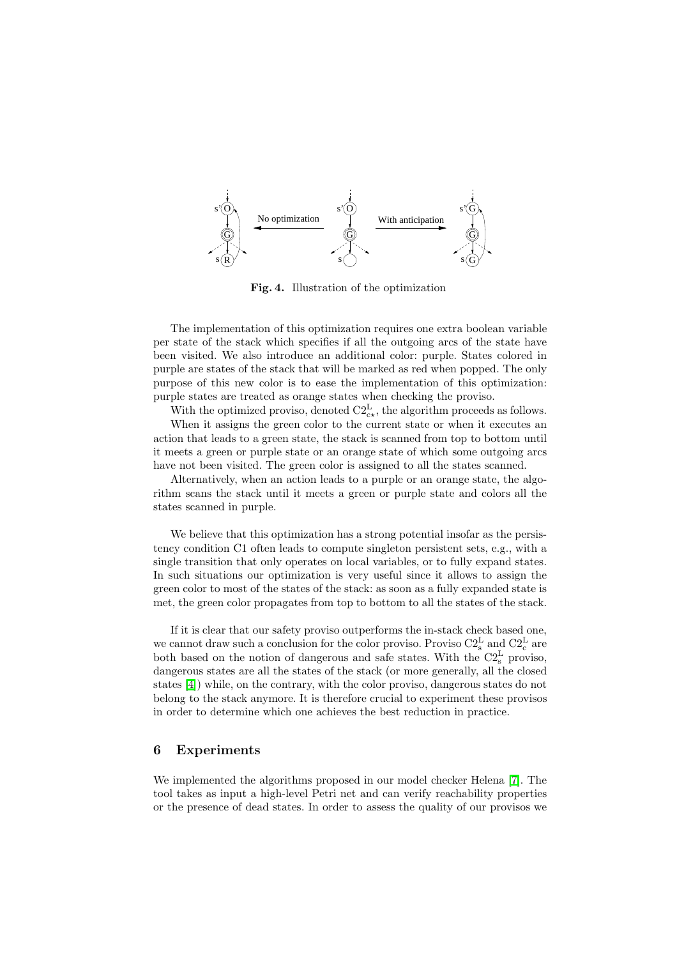

<span id="page-13-1"></span>Fig. 4. Illustration of the optimization

The implementation of this optimization requires one extra boolean variable per state of the stack which specifies if all the outgoing arcs of the state have been visited. We also introduce an additional color: purple. States colored in purple are states of the stack that will be marked as red when popped. The only purpose of this new color is to ease the implementation of this optimization: purple states are treated as orange states when checking the proviso.

With the optimized proviso, denoted  $C2^L_{c\star}$ , the algorithm proceeds as follows. When it assigns the green color to the current state or when it executes an action that leads to a green state, the stack is scanned from top to bottom until it meets a green or purple state or an orange state of which some outgoing arcs have not been visited. The green color is assigned to all the states scanned.

Alternatively, when an action leads to a purple or an orange state, the algorithm scans the stack until it meets a green or purple state and colors all the states scanned in purple.

We believe that this optimization has a strong potential insofar as the persistency condition C1 often leads to compute singleton persistent sets, e.g., with a single transition that only operates on local variables, or to fully expand states. In such situations our optimization is very useful since it allows to assign the green color to most of the states of the stack: as soon as a fully expanded state is met, the green color propagates from top to bottom to all the states of the stack.

If it is clear that our safety proviso outperforms the in-stack check based one, we cannot draw such a conclusion for the color proviso. Proviso  $C2_s^L$  and  $C2_c^L$  are both based on the notion of dangerous and safe states. With the  $C2_s^L$  proviso, dangerous states are all the states of the stack (or more generally, all the closed states [\[4\]](#page-17-8)) while, on the contrary, with the color proviso, dangerous states do not belong to the stack anymore. It is therefore crucial to experiment these provisos in order to determine which one achieves the best reduction in practice.

# <span id="page-13-0"></span>6 Experiments

We implemented the algorithms proposed in our model checker Helena [\[7\]](#page-17-5). The tool takes as input a high-level Petri net and can verify reachability properties or the presence of dead states. In order to assess the quality of our provisos we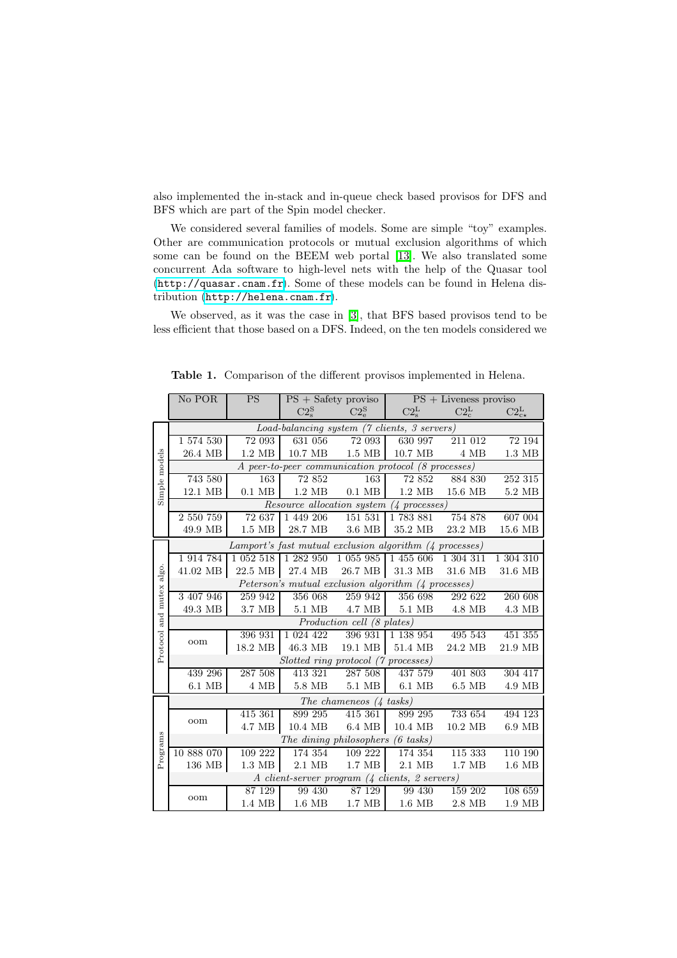also implemented the in-stack and in-queue check based provisos for DFS and BFS which are part of the Spin model checker.

We considered several families of models. Some are simple "toy" examples. Other are communication protocols or mutual exclusion algorithms of which some can be found on the BEEM web portal [\[13\]](#page-17-15). We also translated some concurrent Ada software to high-level nets with the help of the Quasar tool (<http://quasar.cnam.fr>). Some of these models can be found in Helena distribution (<http://helena.cnam.fr>).

We observed, as it was the case in [\[3\]](#page-17-7), that BFS based provisos tend to be less efficient that those based on a DFS. Indeed, on the ten models considered we

<span id="page-14-0"></span>

|                    | No POR                                                  | <b>PS</b>          | $PS + Safety$ proviso |                               | $\overline{PS}$ + Liveness proviso |                   |                       |  |  |
|--------------------|---------------------------------------------------------|--------------------|-----------------------|-------------------------------|------------------------------------|-------------------|-----------------------|--|--|
|                    |                                                         |                    | $C2_{s}^{S}$          | $C2_{e}^{S}$                  | $C2_{s}^{L}$                       | $C2_c^L$          | $C2_{c\star}^{\rm L}$ |  |  |
|                    | Load-balancing system (7 clients, 3 servers)            |                    |                       |                               |                                    |                   |                       |  |  |
| Simple models      | $1\;574\;530$                                           | 72 093             | 631 056               | 72 093                        | 630 997                            | 211 012           | 72 194                |  |  |
|                    | 26.4 MB                                                 | $1.2\;\mathrm{MB}$ | $10.7~\mathrm{MB}$    | $1.5\ \mathrm{MB}$            | 10.7 MB                            | 4 MB              | 1.3 MB                |  |  |
|                    | A peer-to-peer communication protocol (8 processes)     |                    |                       |                               |                                    |                   |                       |  |  |
|                    | 743 580                                                 | 163                | 72 852                | 163                           | 72 852                             | 884 830           | 252 315               |  |  |
|                    | 12.1 MB                                                 | $0.1$ MB           | $1.2\;\mathrm{MB}$    | $0.1~\mathrm{MB}$             | $1.2\;\mathrm{MB}$                 | 15.6 MB           | 5.2 MB                |  |  |
|                    | Resource allocation system<br>$(4 \text{ processes})$   |                    |                       |                               |                                    |                   |                       |  |  |
|                    | $2\ 550\ 759$                                           | 72 637             | 1 449 206             | 151 531                       | 1783 881                           | 754 878           | 607 004               |  |  |
|                    | 49.9 MB                                                 | 1.5 MB             | 28.7 MB               | $3.6\ \mathrm{MB}$            | 35.2 MB                            | 23.2 MB           | 15.6 MB               |  |  |
|                    | Lamport's fast mutual exclusion algorithm (4 processes) |                    |                       |                               |                                    |                   |                       |  |  |
|                    | 1 914 784                                               | 1 0 5 2 5 1 8      |                       | 1 282 950 1 055 985 1 455 606 |                                    | 1 304 311         | 1 304 310             |  |  |
| algo.              | 41.02 MB                                                | 22.5 MB            | 27.4 MB               | 26.7 MB                       | 31.3 MB                            | 31.6 MB           | 31.6 MB               |  |  |
|                    | Peterson's mutual exclusion algorithm (4 processes)     |                    |                       |                               |                                    |                   |                       |  |  |
| Protocol and mutex | 3 407 946                                               | 259 942            | 356 068               | 259 942                       | 356 698                            | 292 622           | 260 608               |  |  |
|                    | 49.3 MB                                                 | 3.7 MB             | 5.1 MB                | 4.7 MB                        | 5.1 MB                             | 4.8 MB            | 4.3 MB                |  |  |
|                    | Production cell (8 plates)                              |                    |                       |                               |                                    |                   |                       |  |  |
|                    | oom                                                     | 396 931            | 1 024 422             | 396 931                       | 1 138 954                          | 495 543           | 451 355               |  |  |
|                    |                                                         | $18.2~\mathrm{MB}$ | 46.3 MB               | 19.1 MB                       | 51.4 MB                            | 24.2 MB           | 21.9 MB               |  |  |
|                    | Slotted ring protocol (7 processes)                     |                    |                       |                               |                                    |                   |                       |  |  |
|                    | 439 296                                                 | 287 508            | 413 321               | 287 508                       | 437 579                            | 401 803           | 304 417               |  |  |
|                    | $6.1$ MB                                                | $4\ \mathrm{MB}$   | 5.8 MB                | $5.1~\mathrm{MB}$             | $6.1$ MB                           | $6.5$ MB          | 4.9 MB                |  |  |
|                    | The chameneos $(4$ tasks)                               |                    |                       |                               |                                    |                   |                       |  |  |
|                    | oom                                                     | 415 361            | 899 295               | 415 361                       | 899 295                            | 733 654           | 494 123               |  |  |
|                    |                                                         | 4.7 MB             | 10.4 MB               | $6.4\ \mathrm{MB}$            | 10.4 MB                            | $10.2$ MB         | 6.9 MB                |  |  |
|                    | The dining philosophers (6 tasks)                       |                    |                       |                               |                                    |                   |                       |  |  |
| Programs           | 10 888 070                                              | 109 222            | 174 354               | 109 222                       | 174 354                            | 115 333           | 110 190               |  |  |
|                    | $136~\mathrm{MB}$                                       | $1.3~\mathrm{MB}$  | 2.1 MB                | 1.7 MB                        | 2.1 MB                             | $1.7~\mathrm{MB}$ | 1.6 MB                |  |  |
|                    | A client-server program (4 clients, 2 servers)          |                    |                       |                               |                                    |                   |                       |  |  |
|                    | oom                                                     | 87 129             | 99 430                | 87 129                        | 99 430                             | 159 202           | 108 659               |  |  |
|                    |                                                         | 1.4 MB             | $1.6\ \mathrm{MB}$    | $1.7~\mathrm{MB}$             | $1.6\ \mathrm{MB}$                 | 2.8 MB            | 1.9 MB                |  |  |

Table 1. Comparison of the different provisos implemented in Helena.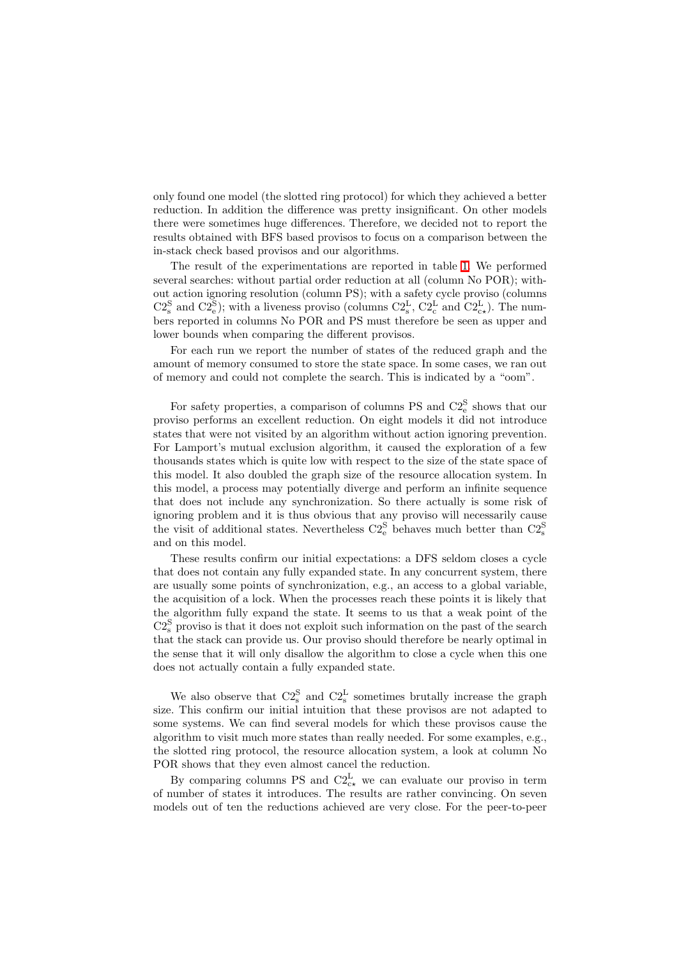only found one model (the slotted ring protocol) for which they achieved a better reduction. In addition the difference was pretty insignificant. On other models there were sometimes huge differences. Therefore, we decided not to report the results obtained with BFS based provisos to focus on a comparison between the in-stack check based provisos and our algorithms.

The result of the experimentations are reported in table [1.](#page-14-0) We performed several searches: without partial order reduction at all (column No POR); without action ignoring resolution (column PS); with a safety cycle proviso (columns  $C2_s^S$  and  $C2_e^S$ ); with a liveness proviso (columns  $C2_s^L$ ,  $C2_c^L$  and  $C2_{c\star}^L$ ). The numbers reported in columns No POR and PS must therefore be seen as upper and lower bounds when comparing the different provisos.

For each run we report the number of states of the reduced graph and the amount of memory consumed to store the state space. In some cases, we ran out of memory and could not complete the search. This is indicated by a "oom".

For safety properties, a comparison of columns PS and  $C2_e^S$  shows that our proviso performs an excellent reduction. On eight models it did not introduce states that were not visited by an algorithm without action ignoring prevention. For Lamport's mutual exclusion algorithm, it caused the exploration of a few thousands states which is quite low with respect to the size of the state space of this model. It also doubled the graph size of the resource allocation system. In this model, a process may potentially diverge and perform an infinite sequence that does not include any synchronization. So there actually is some risk of ignoring problem and it is thus obvious that any proviso will necessarily cause the visit of additional states. Nevertheless  $C2_e^S$  behaves much better than  $C2_s^S$ and on this model.

These results confirm our initial expectations: a DFS seldom closes a cycle that does not contain any fully expanded state. In any concurrent system, there are usually some points of synchronization, e.g., an access to a global variable, the acquisition of a lock. When the processes reach these points it is likely that the algorithm fully expand the state. It seems to us that a weak point of the  $C2_s^S$  proviso is that it does not exploit such information on the past of the search that the stack can provide us. Our proviso should therefore be nearly optimal in the sense that it will only disallow the algorithm to close a cycle when this one does not actually contain a fully expanded state.

We also observe that  $C2_s^S$  and  $C2_s^L$  sometimes brutally increase the graph size. This confirm our initial intuition that these provisos are not adapted to some systems. We can find several models for which these provisos cause the algorithm to visit much more states than really needed. For some examples, e.g., the slotted ring protocol, the resource allocation system, a look at column No POR shows that they even almost cancel the reduction.

By comparing columns PS and  $C2_{c\star}^L$  we can evaluate our proviso in term of number of states it introduces. The results are rather convincing. On seven models out of ten the reductions achieved are very close. For the peer-to-peer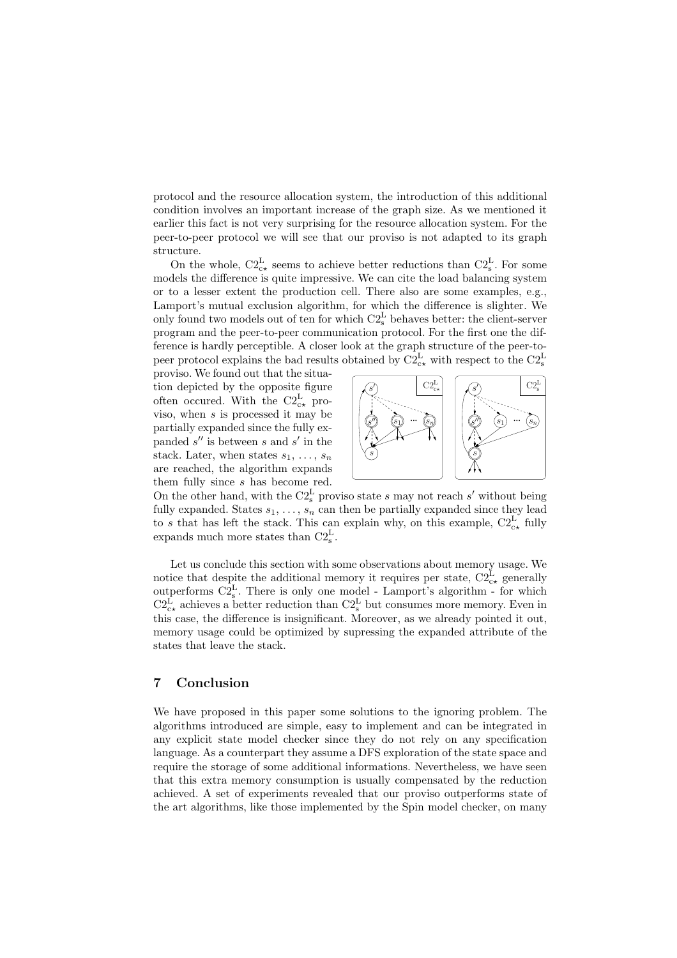protocol and the resource allocation system, the introduction of this additional condition involves an important increase of the graph size. As we mentioned it earlier this fact is not very surprising for the resource allocation system. For the peer-to-peer protocol we will see that our proviso is not adapted to its graph structure.

On the whole,  $C2_{\rm ct}^{\rm L}$  seems to achieve better reductions than  $C2_{\rm s}^{\rm L}$ . For some models the difference is quite impressive. We can cite the load balancing system or to a lesser extent the production cell. There also are some examples, e.g., Lamport's mutual exclusion algorithm, for which the difference is slighter. We only found two models out of ten for which  $C2^L$  behaves better: the client-server program and the peer-to-peer communication protocol. For the first one the difference is hardly perceptible. A closer look at the graph structure of the peer-topeer protocol explains the bad results obtained by  $C2_{c\star}^{\rm L}$  with respect to the  $C2_{\rm s}^{\rm L}$ 

proviso. We found out that the situation depicted by the opposite figure often occured. With the  $C2_{c*}^L$  proviso, when  $s$  is processed it may be partially expanded since the fully expanded  $s''$  is between s and s' in the stack. Later, when states  $s_1, \ldots, s_n$ are reached, the algorithm expands them fully since s has become red.



On the other hand, with the  $C2^{\text{L}}_{\text{s}}$  proviso state s may not reach s' without being fully expanded. States  $s_1, \ldots, s_n$  can then be partially expanded since they lead to s that has left the stack. This can explain why, on this example,  $C2_{c\star}^L$  fully expands much more states than  $C2_s^L$ .

Let us conclude this section with some observations about memory usage. We notice that despite the additional memory it requires per state,  $C2_{c\star}^L$  generally outperforms  $C2_s^L$ . There is only one model - Lamport's algorithm - for which  $C2_{c\star}^L$  achieves a better reduction than  $C2_s^L$  but consumes more memory. Even in this case, the difference is insignificant. Moreover, as we already pointed it out, memory usage could be optimized by supressing the expanded attribute of the states that leave the stack.

#### <span id="page-16-0"></span>7 Conclusion

We have proposed in this paper some solutions to the ignoring problem. The algorithms introduced are simple, easy to implement and can be integrated in any explicit state model checker since they do not rely on any specification language. As a counterpart they assume a DFS exploration of the state space and require the storage of some additional informations. Nevertheless, we have seen that this extra memory consumption is usually compensated by the reduction achieved. A set of experiments revealed that our proviso outperforms state of the art algorithms, like those implemented by the Spin model checker, on many